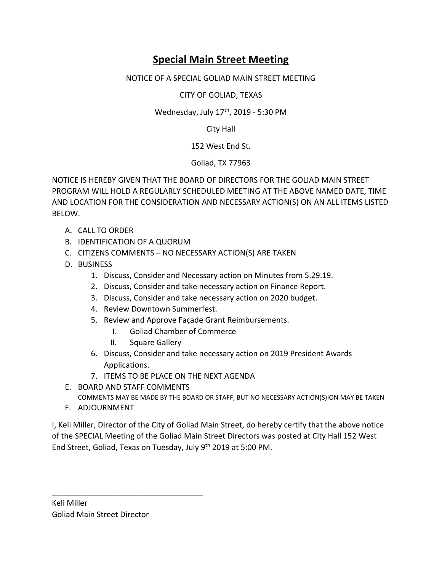## **Special Main Street Meeting**

## NOTICE OF A SPECIAL GOLIAD MAIN STREET MEETING

CITY OF GOLIAD, TEXAS

Wednesday, July 17<sup>th</sup>, 2019 - 5:30 PM

City Hall

152 West End St.

Goliad, TX 77963

NOTICE IS HEREBY GIVEN THAT THE BOARD OF DIRECTORS FOR THE GOLIAD MAIN STREET PROGRAM WILL HOLD A REGULARLY SCHEDULED MEETING AT THE ABOVE NAMED DATE, TIME AND LOCATION FOR THE CONSIDERATION AND NECESSARY ACTION(S) ON AN ALL ITEMS LISTED BELOW.

- A. CALL TO ORDER
- B. IDENTIFICATION OF A QUORUM
- C. CITIZENS COMMENTS NO NECESSARY ACTION(S) ARE TAKEN
- D. BUSINESS
	- 1. Discuss, Consider and Necessary action on Minutes from 5.29.19.
	- 2. Discuss, Consider and take necessary action on Finance Report.
	- 3. Discuss, Consider and take necessary action on 2020 budget.
	- 4. Review Downtown Summerfest.
	- 5. Review and Approve Façade Grant Reimbursements.
		- I. Goliad Chamber of Commerce
		- II. Square Gallery
	- 6. Discuss, Consider and take necessary action on 2019 President Awards Applications.
	- 7. ITEMS TO BE PLACE ON THE NEXT AGENDA
- E. BOARD AND STAFF COMMENTS

COMMENTS MAY BE MADE BY THE BOARD OR STAFF, BUT NO NECESSARY ACTION(S)ION MAY BE TAKEN

F. ADJOURNMENT

I, Keli Miller, Director of the City of Goliad Main Street, do hereby certify that the above notice of the SPECIAL Meeting of the Goliad Main Street Directors was posted at City Hall 152 West End Street, Goliad, Texas on Tuesday, July 9th 2019 at 5:00 PM.

\_\_\_\_\_\_\_\_\_\_\_\_\_\_\_\_\_\_\_\_\_\_\_\_\_\_\_\_\_\_\_\_\_\_\_